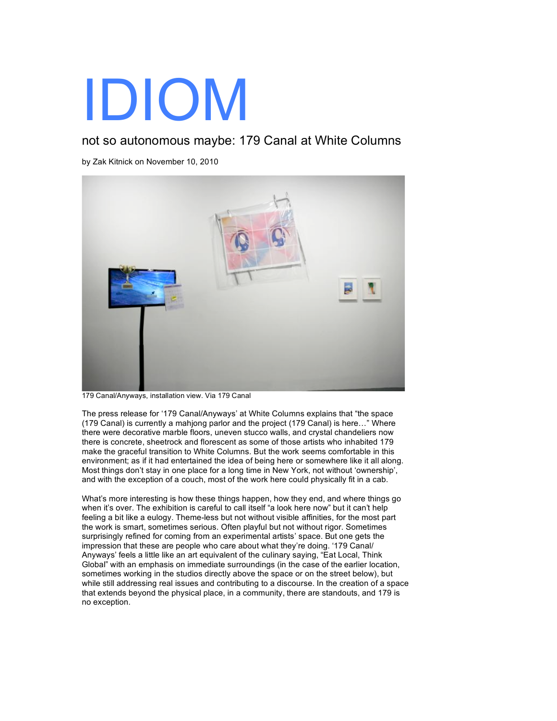## IDIOM

## not so autonomous maybe: 179 Canal at White Columns

by Zak Kitnick on November 10, 2010



179 Canal/Anyways, installation view. Via 179 Canal

The press release for '179 Canal/Anyways' at White Columns explains that "the space (179 Canal) is currently a mahjong parlor and the project (179 Canal) is here…" Where there were decorative marble floors, uneven stucco walls, and crystal chandeliers now there is concrete, sheetrock and florescent as some of those artists who inhabited 179 make the graceful transition to White Columns. But the work seems comfortable in this environment; as if it had entertained the idea of being here or somewhere like it all along. Most things don't stay in one place for a long time in New York, not without 'ownership', and with the exception of a couch, most of the work here could physically fit in a cab.

What's more interesting is how these things happen, how they end, and where things go when it's over. The exhibition is careful to call itself "a look here now" but it can't help feeling a bit like a eulogy. Theme-less but not without visible affinities, for the most part the work is smart, sometimes serious. Often playful but not without rigor. Sometimes surprisingly refined for coming from an experimental artists' space. But one gets the impression that these are people who care about what they're doing. '179 Canal/ Anyways' feels a little like an art equivalent of the culinary saying, "Eat Local, Think Global" with an emphasis on immediate surroundings (in the case of the earlier location, sometimes working in the studios directly above the space or on the street below), but while still addressing real issues and contributing to a discourse. In the creation of a space that extends beyond the physical place, in a community, there are standouts, and 179 is no exception.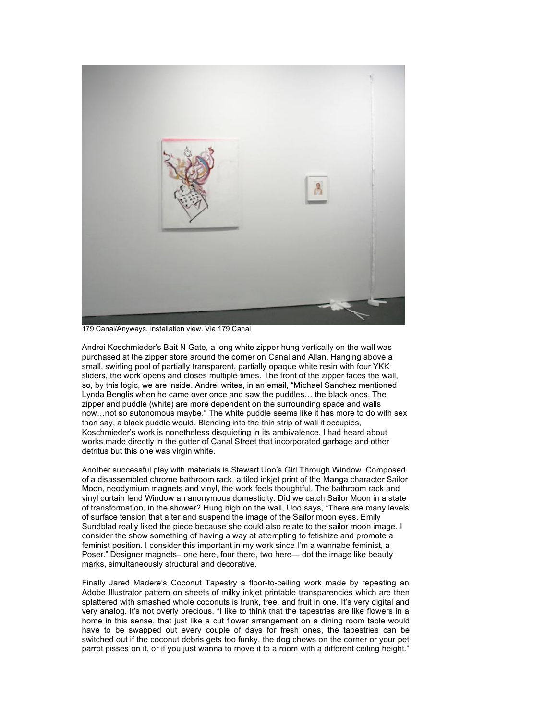

179 Canal/Anyways, installation view. Via 179 Canal

Andrei Koschmieder's Bait N Gate, a long white zipper hung vertically on the wall was purchased at the zipper store around the corner on Canal and Allan. Hanging above a small, swirling pool of partially transparent, partially opaque white resin with four YKK sliders, the work opens and closes multiple times. The front of the zipper faces the wall, so, by this logic, we are inside. Andrei writes, in an email, "Michael Sanchez mentioned Lynda Benglis when he came over once and saw the puddles… the black ones. The zipper and puddle (white) are more dependent on the surrounding space and walls now…not so autonomous maybe." The white puddle seems like it has more to do with sex than say, a black puddle would. Blending into the thin strip of wall it occupies, Koschmieder's work is nonetheless disquieting in its ambivalence. I had heard about works made directly in the gutter of Canal Street that incorporated garbage and other detritus but this one was virgin white.

Another successful play with materials is Stewart Uoo's Girl Through Window. Composed of a disassembled chrome bathroom rack, a tiled inkjet print of the Manga character Sailor Moon, neodymium magnets and vinyl, the work feels thoughtful. The bathroom rack and vinyl curtain lend Window an anonymous domesticity. Did we catch Sailor Moon in a state of transformation, in the shower? Hung high on the wall, Uoo says, "There are many levels of surface tension that alter and suspend the image of the Sailor moon eyes. Emily Sundblad really liked the piece because she could also relate to the sailor moon image. I consider the show something of having a way at attempting to fetishize and promote a feminist position. I consider this important in my work since I'm a wannabe feminist, a Poser." Designer magnets– one here, four there, two here— dot the image like beauty marks, simultaneously structural and decorative.

Finally Jared Madere's Coconut Tapestry a floor-to-ceiling work made by repeating an Adobe Illustrator pattern on sheets of milky inkjet printable transparencies which are then splattered with smashed whole coconuts is trunk, tree, and fruit in one. It's very digital and very analog. It's not overly precious. "I like to think that the tapestries are like flowers in a home in this sense, that just like a cut flower arrangement on a dining room table would have to be swapped out every couple of days for fresh ones, the tapestries can be switched out if the coconut debris gets too funky, the dog chews on the corner or your pet parrot pisses on it, or if you just wanna to move it to a room with a different ceiling height."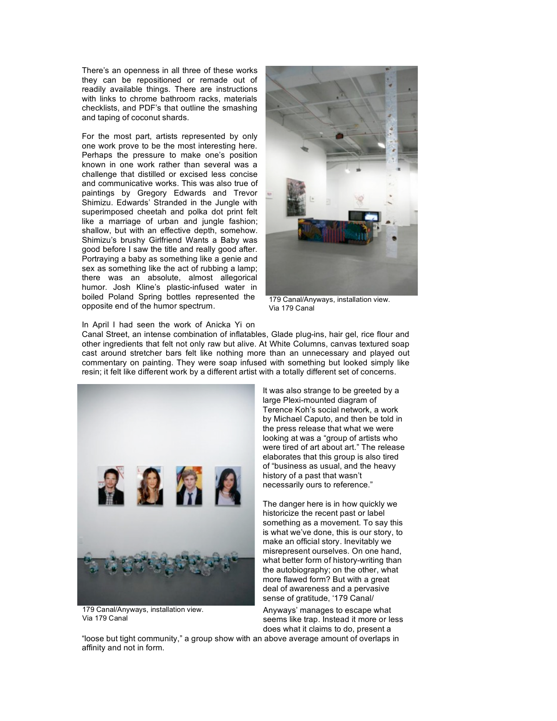There's an openness in all three of these works they can be repositioned or remade out of readily available things. There are instructions with links to chrome bathroom racks, materials checklists, and PDF's that outline the smashing and taping of coconut shards.

For the most part, artists represented by only one work prove to be the most interesting here. Perhaps the pressure to make one's position known in one work rather than several was a challenge that distilled or excised less concise and communicative works. This was also true of paintings by Gregory Edwards and Trevor Shimizu. Edwards' Stranded in the Jungle with superimposed cheetah and polka dot print felt like a marriage of urban and jungle fashion; shallow, but with an effective depth, somehow. Shimizu's brushy Girlfriend Wants a Baby was good before I saw the title and really good after. Portraying a baby as something like a genie and sex as something like the act of rubbing a lamp; there was an absolute, almost allegorical humor. Josh Kline's plastic-infused water in boiled Poland Spring bottles represented the opposite end of the humor spectrum.



179 Canal/Anyways, installation view. Via 179 Canal

## In April I had seen the work of Anicka Yi on

Canal Street, an intense combination of inflatables, Glade plug-ins, hair gel, rice flour and other ingredients that felt not only raw but alive. At White Columns, canvas textured soap cast around stretcher bars felt like nothing more than an unnecessary and played out commentary on painting. They were soap infused with something but looked simply like resin; it felt like different work by a different artist with a totally different set of concerns.



179 Canal/Anyways, installation view. Via 179 Canal

It was also strange to be greeted by a large Plexi-mounted diagram of Terence Koh's social network, a work by Michael Caputo, and then be told in the press release that what we were looking at was a "group of artists who were tired of art about art." The release elaborates that this group is also tired of "business as usual, and the heavy history of a past that wasn't necessarily ours to reference."

The danger here is in how quickly we historicize the recent past or label something as a movement. To say this is what we've done, this is our story, to make an official story. Inevitably we misrepresent ourselves. On one hand, what better form of history-writing than the autobiography; on the other, what more flawed form? But with a great deal of awareness and a pervasive sense of gratitude, '179 Canal/

Anyways' manages to escape what seems like trap. Instead it more or less does what it claims to do, present a

"loose but tight community," a group show with an above average amount of overlaps in affinity and not in form.